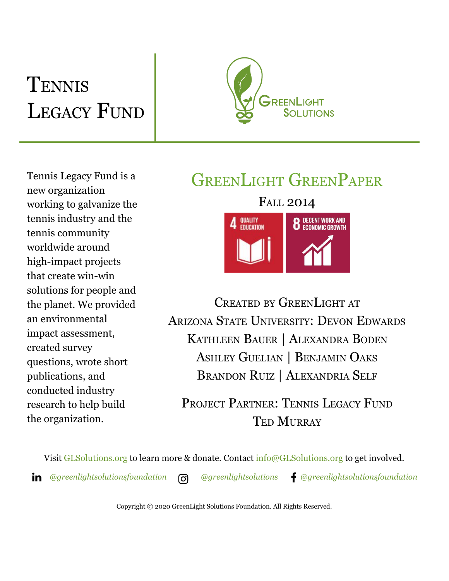# **TENNIS** LEGACY FUND



Tennis Legacy Fund is a new organization working to galvanize the tennis industry and the tennis community worldwide around high-impact projects that create win-win solutions for people and the planet. We provided an environmental impact assessment, created survey questions, wrote short publications, and conducted industry research to help build the organization.

# GREENLIGHT GREENPAPER



CREATED BY GREENLIGHT AT ARIZONA STATE UNIVERSITY: DEVON EDWARDS KATHLEEN BAUER | ALEXANDRA BODEN ASHLEY GUELIAN | BENJAMIN OAKS BRANDON RUIZ | ALEXANDRIA SELF

PROJECT PARTNER: TENNIS LEGACY FUND TED MURRAY

Visit [GLSolutions.org](https://www.glsolutions.org/) to learn more & donate. Contact  $\frac{info@GLSolutions.org}{info@GLSolutions.org}$  to get involved. *[@greenlightsolutionsfoundation](https://www.linkedin.com/company/10571635) [@greenlightsolutions](https://www.instagram.com/greenlightsolutions/) [@greenlightsolutionsfoundation](https://www.facebook.com/GreenLightSolutionsFoundation/)*

Copyright © 2020 GreenLight Solutions Foundation. All Rights Reserved.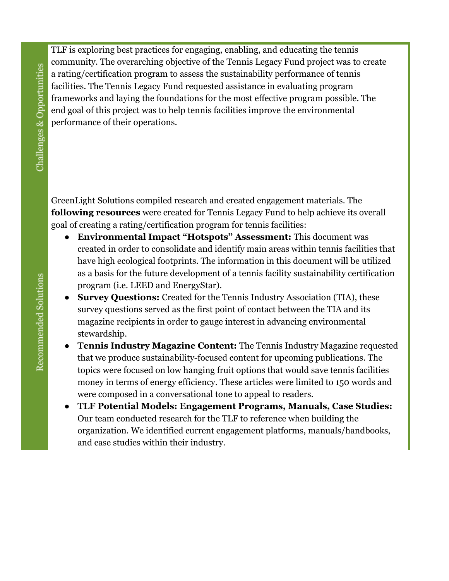TLF is exploring best practices for engaging, enabling, and educating the tennis community. The overarching objective of the Tennis Legacy Fund project was to create a rating/certification program to assess the sustainability performance of tennis facilities. The Tennis Legacy Fund requested assistance in evaluating program frameworks and laying the foundations for the most effective program possible. The end goal of this project was to help tennis facilities improve the environmental performance of their operations.

GreenLight Solutions compiled research and created engagement materials. The **following resources** were created for Tennis Legacy Fund to help achieve its overall goal of creating a rating/certification program for tennis facilities:

- **Environmental Impact "Hotspots" Assessment:** This document was created in order to consolidate and identify main areas within tennis facilities that have high ecological footprints. The information in this document will be utilized as a basis for the future development of a tennis facility sustainability certification program (i.e. LEED and EnergyStar).
- **Survey Questions:** Created for the Tennis Industry Association (TIA), these survey questions served as the first point of contact between the TIA and its magazine recipients in order to gauge interest in advancing environmental stewardship.
- **Tennis Industry Magazine Content:** The Tennis Industry Magazine requested that we produce sustainability-focused content for upcoming publications. The topics were focused on low hanging fruit options that would save tennis facilities money in terms of energy efficiency. These articles were limited to 150 words and were composed in a conversational tone to appeal to readers.
- **TLF Potential Models: Engagement Programs, Manuals, Case Studies:** Our team conducted research for the TLF to reference when building the organization. We identified current engagement platforms, manuals/handbooks, and case studies within their industry.